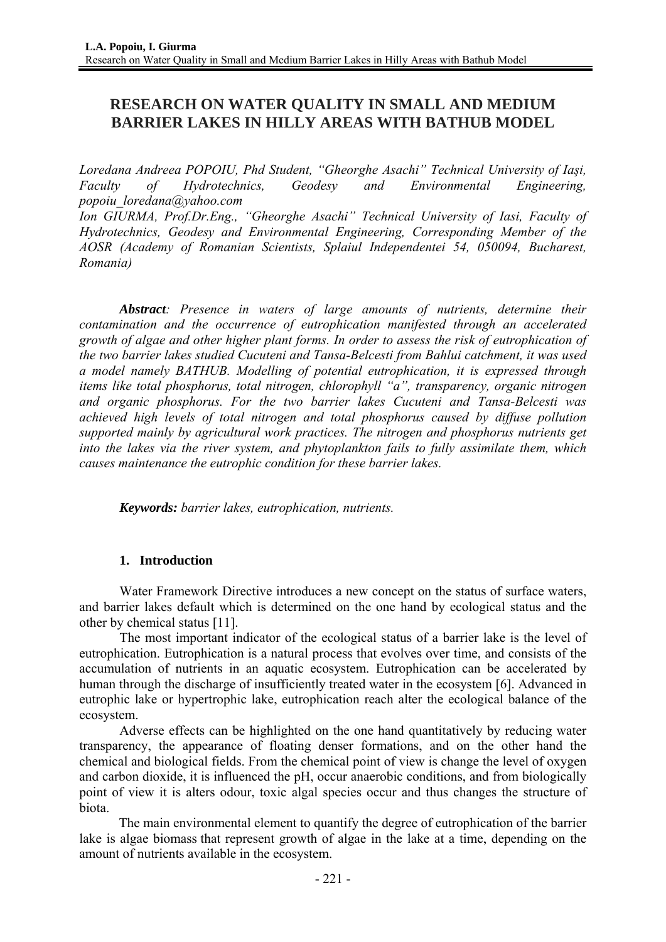# **RESEARCH ON WATER QUALITY IN SMALL AND MEDIUM BARRIER LAKES IN HILLY AREAS WITH BATHUB MODEL**

*Loredana Andreea POPOIU, Phd Student, "Gheorghe Asachi" Technical University of Iaşi, Faculty of Hydrotechnics, Geodesy and Environmental Engineering, popoiu\_loredana@yahoo.com* 

Ion GIURMA, Prof.Dr.Eng., "Gheorghe Asachi" Technical University of Iasi, Faculty of *Hydrotechnics, Geodesy and Environmental Engineering, Corresponding Member of the AOSR (Academy of Romanian Scientists, Splaiul Independentei 54, 050094, Bucharest, Romania)* 

*Abstract: Presence in waters of large amounts of nutrients, determine their contamination and the occurrence of eutrophication manifested through an accelerated growth of algae and other higher plant forms. In order to assess the risk of eutrophication of the two barrier lakes studied Cucuteni and Tansa-Belcesti from Bahlui catchment, it was used a model namely BATHUB. Modelling of potential eutrophication, it is expressed through items like total phosphorus, total nitrogen, chlorophyll "a", transparency, organic nitrogen and organic phosphorus. For the two barrier lakes Cucuteni and Tansa-Belcesti was achieved high levels of total nitrogen and total phosphorus caused by diffuse pollution supported mainly by agricultural work practices. The nitrogen and phosphorus nutrients get into the lakes via the river system, and phytoplankton fails to fully assimilate them, which causes maintenance the eutrophic condition for these barrier lakes.* 

*Keywords: barrier lakes, eutrophication, nutrients.*

## **1. Introduction**

Water Framework Directive introduces a new concept on the status of surface waters, and barrier lakes default which is determined on the one hand by ecological status and the other by chemical status [11].

The most important indicator of the ecological status of a barrier lake is the level of eutrophication. Eutrophication is a natural process that evolves over time, and consists of the accumulation of nutrients in an aquatic ecosystem. Eutrophication can be accelerated by human through the discharge of insufficiently treated water in the ecosystem [6]. Advanced in eutrophic lake or hypertrophic lake, eutrophication reach alter the ecological balance of the ecosystem.

Adverse effects can be highlighted on the one hand quantitatively by reducing water transparency, the appearance of floating denser formations, and on the other hand the chemical and biological fields. From the chemical point of view is change the level of oxygen and carbon dioxide, it is influenced the pH, occur anaerobic conditions, and from biologically point of view it is alters odour, toxic algal species occur and thus changes the structure of biota.

The main environmental element to quantify the degree of eutrophication of the barrier lake is algae biomass that represent growth of algae in the lake at a time, depending on the amount of nutrients available in the ecosystem.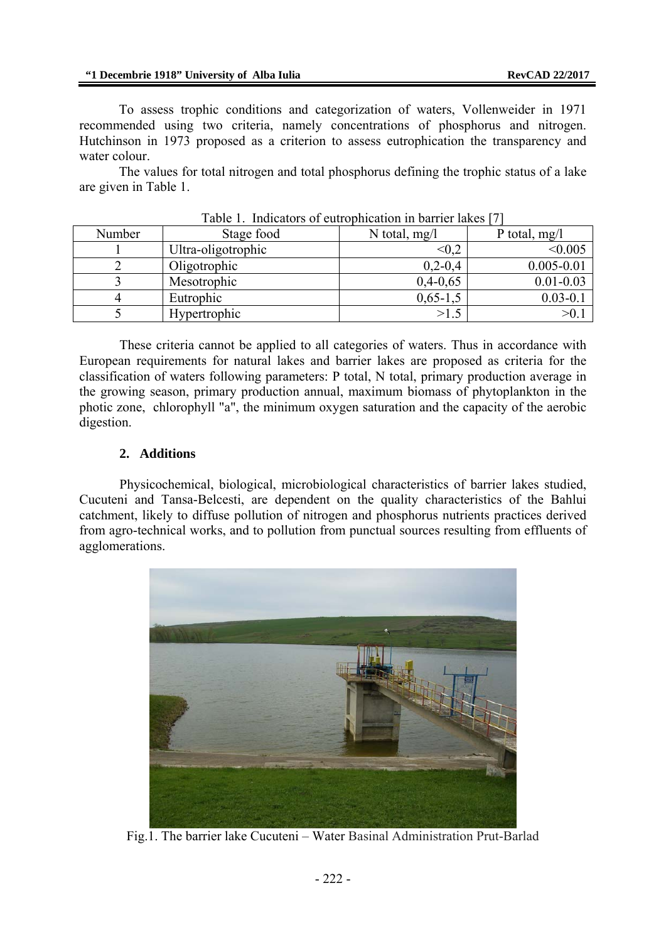To assess trophic conditions and categorization of waters, Vollenweider in 1971 recommended using two criteria, namely concentrations of phosphorus and nitrogen. Hutchinson in 1973 proposed as a criterion to assess eutrophication the transparency and water colour.

The values for total nitrogen and total phosphorus defining the trophic status of a lake are given in Table 1.

| Number | Stage food         | N total, $mg/l$ | P total, $mg/l$ |
|--------|--------------------|-----------------|-----------------|
|        | Ultra-oligotrophic | $< \! 0.2$      | < 0.005         |
|        | Oligotrophic       | $0,2-0,4$       | $0.005 - 0.01$  |
|        | Mesotrophic        | $0,4-0,65$      | $0.01 - 0.03$   |
|        | Eutrophic          | $0,65-1,5$      | $0.03 - 0.1$    |
|        | Hypertrophic       | >1.5            |                 |

Table 1. Indicators of eutrophication in barrier lakes [7]

These criteria cannot be applied to all categories of waters. Thus in accordance with European requirements for natural lakes and barrier lakes are proposed as criteria for the classification of waters following parameters: P total, N total, primary production average in the growing season, primary production annual, maximum biomass of phytoplankton in the photic zone, chlorophyll "a", the minimum oxygen saturation and the capacity of the aerobic digestion.

#### **2. Additions**

Physicochemical, biological, microbiological characteristics of barrier lakes studied, Cucuteni and Tansa-Belcesti, are dependent on the quality characteristics of the Bahlui catchment, likely to diffuse pollution of nitrogen and phosphorus nutrients practices derived from agro-technical works, and to pollution from punctual sources resulting from effluents of agglomerations.



Fig.1. The barrier lake Cucuteni – Water Basinal Administration Prut-Barlad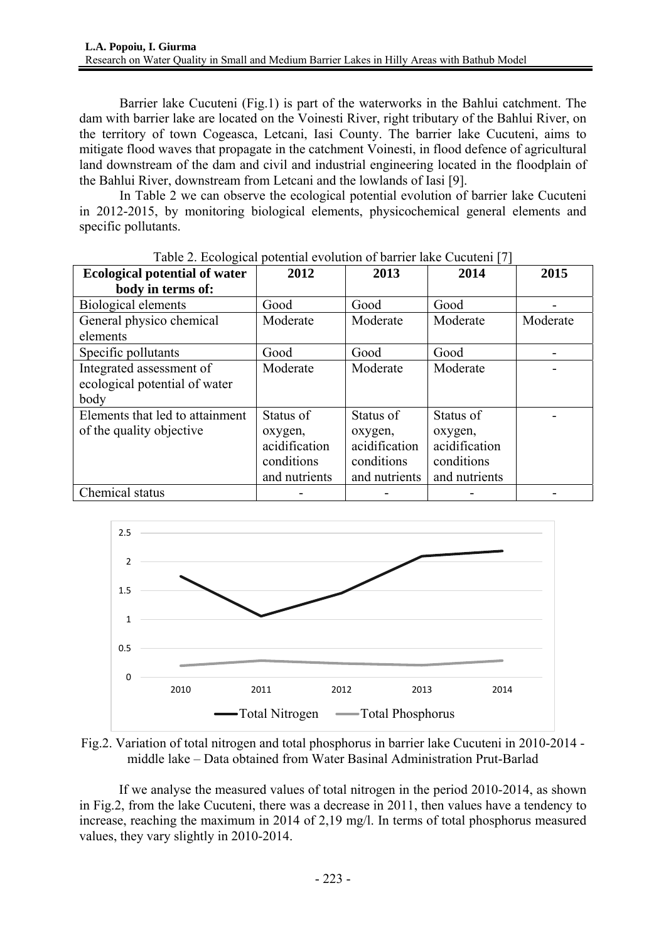Barrier lake Cucuteni (Fig.1) is part of the waterworks in the Bahlui catchment. The dam with barrier lake are located on the Voinesti River, right tributary of the Bahlui River, on the territory of town Cogeasca, Letcani, Iasi County. The barrier lake Cucuteni, aims to mitigate flood waves that propagate in the catchment Voinesti, in flood defence of agricultural land downstream of the dam and civil and industrial engineering located in the floodplain of the Bahlui River, downstream from Letcani and the lowlands of Iasi [9].

 In Table 2 we can observe the ecological potential evolution of barrier lake Cucuteni in 2012-2015, by monitoring biological elements, physicochemical general elements and specific pollutants.

| <b>Ecological potential of water</b> | 2012          | 2013          | 2014          | 2015     |
|--------------------------------------|---------------|---------------|---------------|----------|
| body in terms of:                    |               |               |               |          |
| Biological elements                  | Good          | Good          | Good          |          |
| General physico chemical             | Moderate      | Moderate      | Moderate      | Moderate |
| elements                             |               |               |               |          |
| Specific pollutants                  | Good          | Good          | Good          |          |
| Integrated assessment of             | Moderate      | Moderate      | Moderate      |          |
| ecological potential of water        |               |               |               |          |
| body                                 |               |               |               |          |
| Elements that led to attainment      | Status of     | Status of     | Status of     |          |
| of the quality objective             | oxygen,       | oxygen,       | oxygen,       |          |
|                                      | acidification | acidification | acidification |          |
|                                      | conditions    | conditions    | conditions    |          |
|                                      | and nutrients | and nutrients | and nutrients |          |
| Chemical status                      |               |               |               |          |

|  |  | Table 2. Ecological potential evolution of barrier lake Cucuteni [7] |  |
|--|--|----------------------------------------------------------------------|--|
|  |  |                                                                      |  |



Fig.2. Variation of total nitrogen and total phosphorus in barrier lake Cucuteni in 2010-2014 middle lake – Data obtained from Water Basinal Administration Prut-Barlad

If we analyse the measured values of total nitrogen in the period 2010-2014, as shown in Fig.2, from the lake Cucuteni, there was a decrease in 2011, then values have a tendency to increase, reaching the maximum in 2014 of 2,19 mg/l. In terms of total phosphorus measured values, they vary slightly in 2010-2014.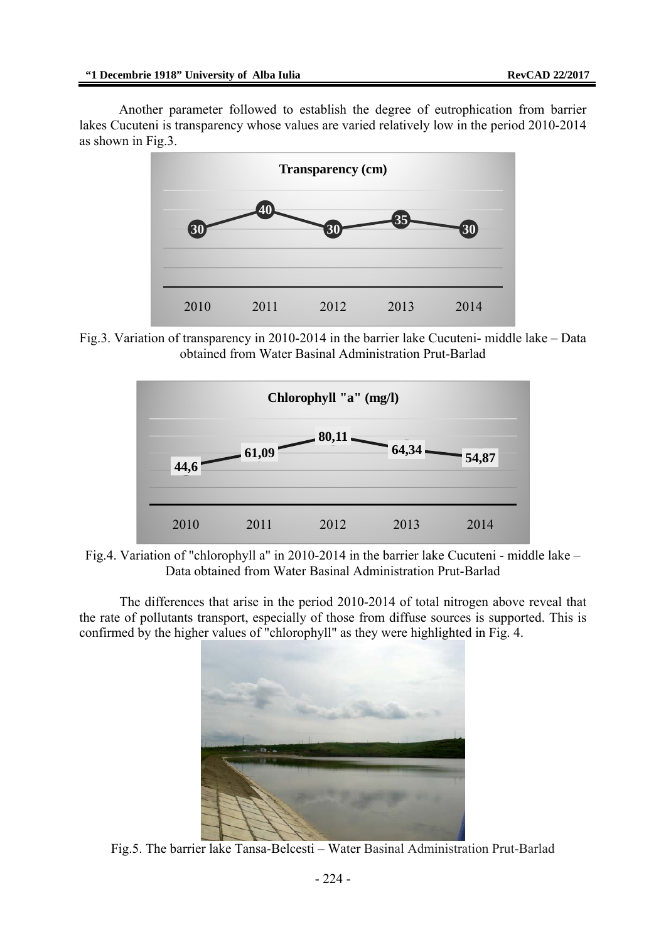Another parameter followed to establish the degree of eutrophication from barrier lakes Cucuteni is transparency whose values are varied relatively low in the period 2010-2014 as shown in Fig.3.



Fig.3. Variation of transparency in 2010-2014 in the barrier lake Cucuteni- middle lake – Data obtained from Water Basinal Administration Prut-Barlad



Fig.4. Variation of "chlorophyll a" in 2010-2014 in the barrier lake Cucuteni - middle lake – Data obtained from Water Basinal Administration Prut-Barlad

The differences that arise in the period 2010-2014 of total nitrogen above reveal that the rate of pollutants transport, especially of those from diffuse sources is supported. This is confirmed by the higher values of "chlorophyll" as they were highlighted in Fig. 4.



Fig.5. The barrier lake Tansa-Belcesti – Water Basinal Administration Prut-Barlad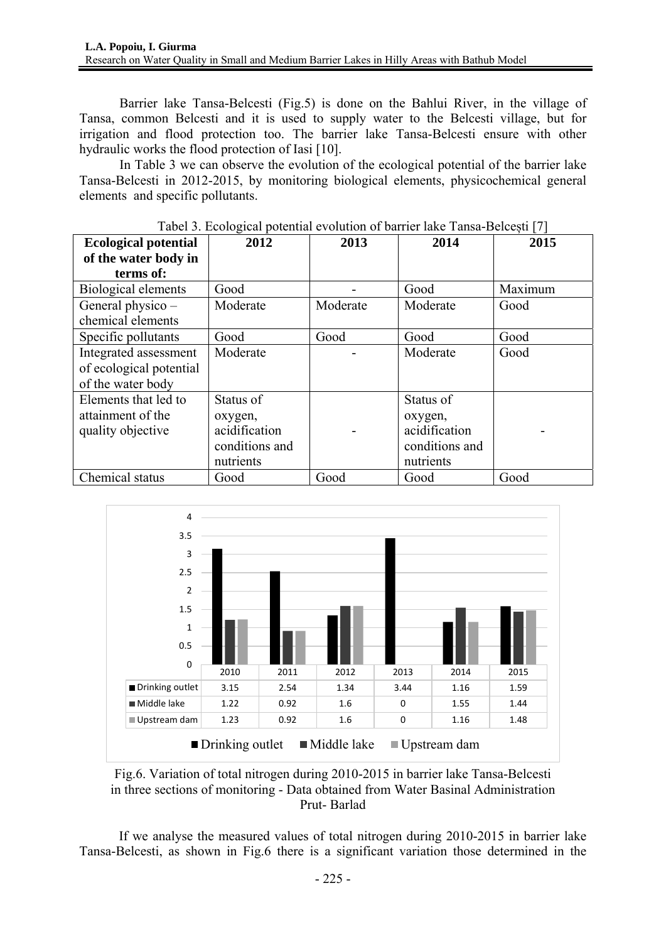Barrier lake Tansa-Belcesti (Fig.5) is done on the Bahlui River, in the village of Tansa, common Belcesti and it is used to supply water to the Belcesti village, but for irrigation and flood protection too. The barrier lake Tansa-Belcesti ensure with other hydraulic works the flood protection of Iasi [10].

 In Table 3 we can observe the evolution of the ecological potential of the barrier lake Tansa-Belcesti in 2012-2015, by monitoring biological elements, physicochemical general elements and specific pollutants.

| <b>Ecological potential</b> | 2012           | 2013     | 2014           | 2015    |
|-----------------------------|----------------|----------|----------------|---------|
| of the water body in        |                |          |                |         |
| terms of:                   |                |          |                |         |
| Biological elements         | Good           |          | Good           | Maximum |
| General physico -           | Moderate       | Moderate | Moderate       | Good    |
| chemical elements           |                |          |                |         |
| Specific pollutants         | Good           | Good     | Good           | Good    |
| Integrated assessment       | Moderate       |          | Moderate       | Good    |
| of ecological potential     |                |          |                |         |
| of the water body           |                |          |                |         |
| Elements that led to        | Status of      |          | Status of      |         |
| attainment of the           | oxygen,        |          | oxygen,        |         |
| quality objective           | acidification  |          | acidification  |         |
|                             | conditions and |          | conditions and |         |
|                             | nutrients      |          | nutrients      |         |
| Chemical status             | Good           | Good     | Good           | Good    |

Tabel 3. Ecological potential evolution of barrier lake Tansa-Belcești [7]



Fig.6. Variation of total nitrogen during 2010-2015 in barrier lake Tansa-Belcesti in three sections of monitoring - Data obtained from Water Basinal Administration Prut- Barlad

If we analyse the measured values of total nitrogen during 2010-2015 in barrier lake Tansa-Belcesti, as shown in Fig.6 there is a significant variation those determined in the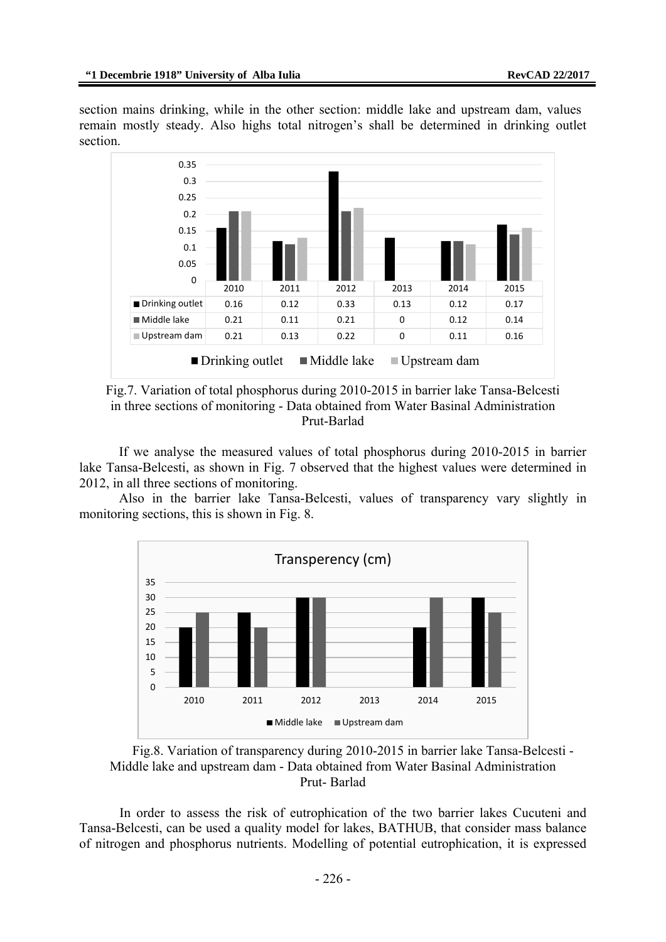section mains drinking, while in the other section: middle lake and upstream dam, values remain mostly steady. Also highs total nitrogen's shall be determined in drinking outlet section.



Fig.7. Variation of total phosphorus during 2010-2015 in barrier lake Tansa-Belcesti in three sections of monitoring - Data obtained from Water Basinal Administration Prut-Barlad

If we analyse the measured values of total phosphorus during 2010-2015 in barrier lake Tansa-Belcesti, as shown in Fig. 7 observed that the highest values were determined in 2012, in all three sections of monitoring.

Also in the barrier lake Tansa-Belcesti, values of transparency vary slightly in monitoring sections, this is shown in Fig. 8.



Fig.8. Variation of transparency during 2010-2015 in barrier lake Tansa-Belcesti - Middle lake and upstream dam - Data obtained from Water Basinal Administration Prut- Barlad

In order to assess the risk of eutrophication of the two barrier lakes Cucuteni and Tansa-Belcesti, can be used a quality model for lakes, BATHUB, that consider mass balance of nitrogen and phosphorus nutrients. Modelling of potential eutrophication, it is expressed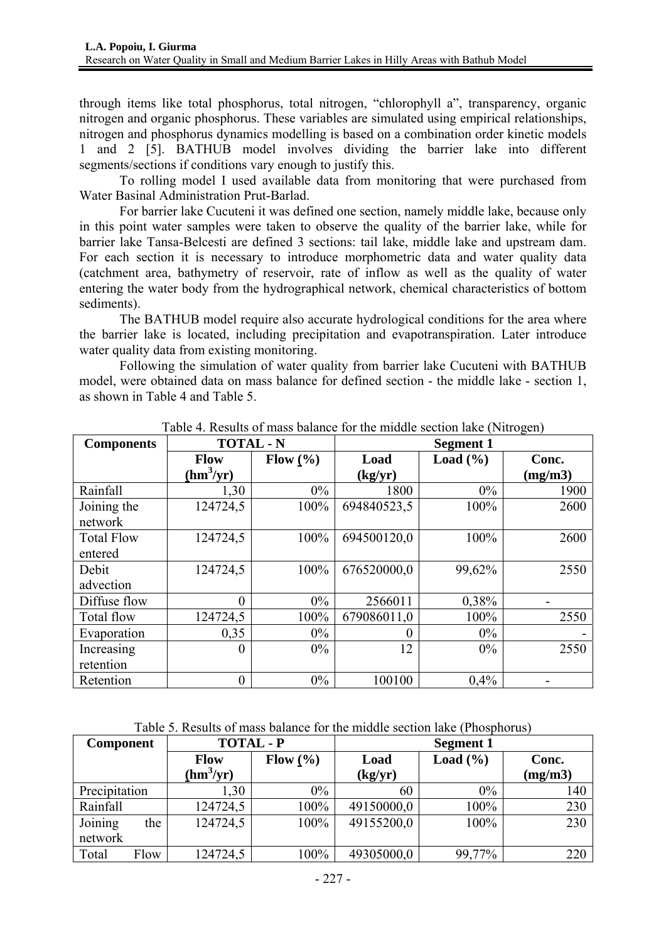through items like total phosphorus, total nitrogen, "chlorophyll a", transparency, organic nitrogen and organic phosphorus. These variables are simulated using empirical relationships, nitrogen and phosphorus dynamics modelling is based on a combination order kinetic models 1 and 2 [5]. BATHUB model involves dividing the barrier lake into different segments/sections if conditions vary enough to justify this.

To rolling model I used available data from monitoring that were purchased from Water Basinal Administration Prut-Barlad.

For barrier lake Cucuteni it was defined one section, namely middle lake, because only in this point water samples were taken to observe the quality of the barrier lake, while for barrier lake Tansa-Belcesti are defined 3 sections: tail lake, middle lake and upstream dam. For each section it is necessary to introduce morphometric data and water quality data (catchment area, bathymetry of reservoir, rate of inflow as well as the quality of water entering the water body from the hydrographical network, chemical characteristics of bottom sediments).

The BATHUB model require also accurate hydrological conditions for the area where the barrier lake is located, including precipitation and evapotranspiration. Later introduce water quality data from existing monitoring.

Following the simulation of water quality from barrier lake Cucuteni with BATHUB model, were obtained data on mass balance for defined section - the middle lake - section 1, as shown in Table 4 and Table 5.

| <b>Components</b> | <b>TOTAL - N</b>            |       | <b>Segment 1</b> |              |         |
|-------------------|-----------------------------|-------|------------------|--------------|---------|
|                   | Flow $(\% )$<br><b>Flow</b> |       | Load             | Load $(\% )$ | Conc.   |
|                   | (hm <sup>3</sup> /yr)       |       | (kg/yr)          |              | (mg/m3) |
| Rainfall          | 1,30                        | $0\%$ | 1800             | $0\%$        | 1900    |
| Joining the       | 124724,5                    | 100%  | 694840523,5      | 100%         | 2600    |
| network           |                             |       |                  |              |         |
| <b>Total Flow</b> | 124724,5                    | 100%  | 694500120,0      | 100%         | 2600    |
| entered           |                             |       |                  |              |         |
| Debit             | 124724,5                    | 100%  | 676520000,0      | 99,62%       | 2550    |
| advection         |                             |       |                  |              |         |
| Diffuse flow      | $\overline{0}$              | $0\%$ | 2566011          | 0,38%        |         |
| Total flow        | 124724,5                    | 100%  | 679086011,0      | 100%         | 2550    |
| Evaporation       | 0,35                        | $0\%$ | $\theta$         | $0\%$        |         |
| Increasing        | $\boldsymbol{0}$            | $0\%$ | 12               | 0%           | 2550    |
| retention         |                             |       |                  |              |         |
| Retention         | $\boldsymbol{0}$            | $0\%$ | 100100           | 0,4%         |         |

Table 4. Results of mass balance for the middle section lake (Nitrogen)

| Table 5. Results of mass balance for the middle section lake (Phosphorus) |  |  |
|---------------------------------------------------------------------------|--|--|
|---------------------------------------------------------------------------|--|--|

| <b>Component</b> |      |                             | <b>TOTAL - P</b> |            | <b>Segment 1</b> |         |  |
|------------------|------|-----------------------------|------------------|------------|------------------|---------|--|
|                  |      | Flow $(\% )$<br><b>Flow</b> |                  | Load       | Load $(\% )$     | Conc.   |  |
|                  |      | (hm <sup>3</sup> /yr)       |                  | (kg/yr)    |                  | (mg/m3) |  |
| Precipitation    |      | 1.30                        | $0\%$            | 60         | $0\%$            | 140     |  |
| Rainfall         |      | 124724,5                    | 100%             | 49150000,0 | 100%             | 230     |  |
| Joining          | the  | 124724,5                    | 100%             | 49155200,0 | 100%             | 230     |  |
| network          |      |                             |                  |            |                  |         |  |
| Total            | Flow | 124724,5                    | 100%             | 49305000,0 | 99,77%           | 220     |  |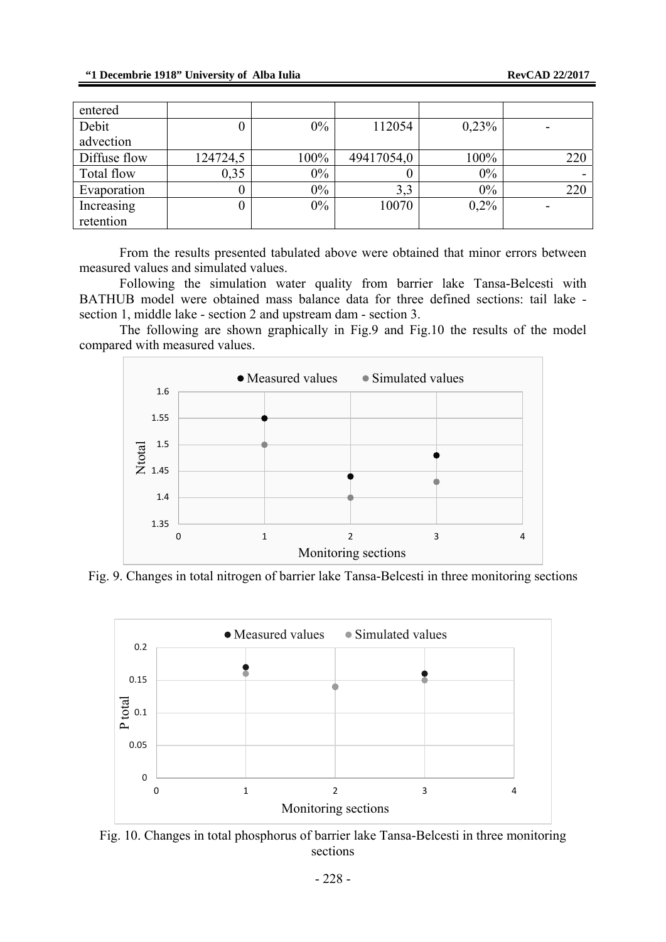| entered      |          |       |            |         |     |
|--------------|----------|-------|------------|---------|-----|
| Debit        | U        | $0\%$ | 112054     | 0,23%   |     |
| advection    |          |       |            |         |     |
| Diffuse flow | 124724,5 | 100%  | 49417054,0 | 100%    | 220 |
| Total flow   | 0,35     | $0\%$ |            | 0%      |     |
| Evaporation  | O        | $0\%$ | 3,3        | $0\%$   | 220 |
| Increasing   | 0        | $0\%$ | 10070      | $0.2\%$ |     |
| retention    |          |       |            |         |     |

From the results presented tabulated above were obtained that minor errors between measured values and simulated values.

Following the simulation water quality from barrier lake Tansa-Belcesti with BATHUB model were obtained mass balance data for three defined sections: tail lake section 1, middle lake - section 2 and upstream dam - section 3.

The following are shown graphically in Fig.9 and Fig.10 the results of the model compared with measured values.



Fig. 9. Changes in total nitrogen of barrier lake Tansa-Belcesti in three monitoring sections



Fig. 10. Changes in total phosphorus of barrier lake Tansa-Belcesti in three monitoring sections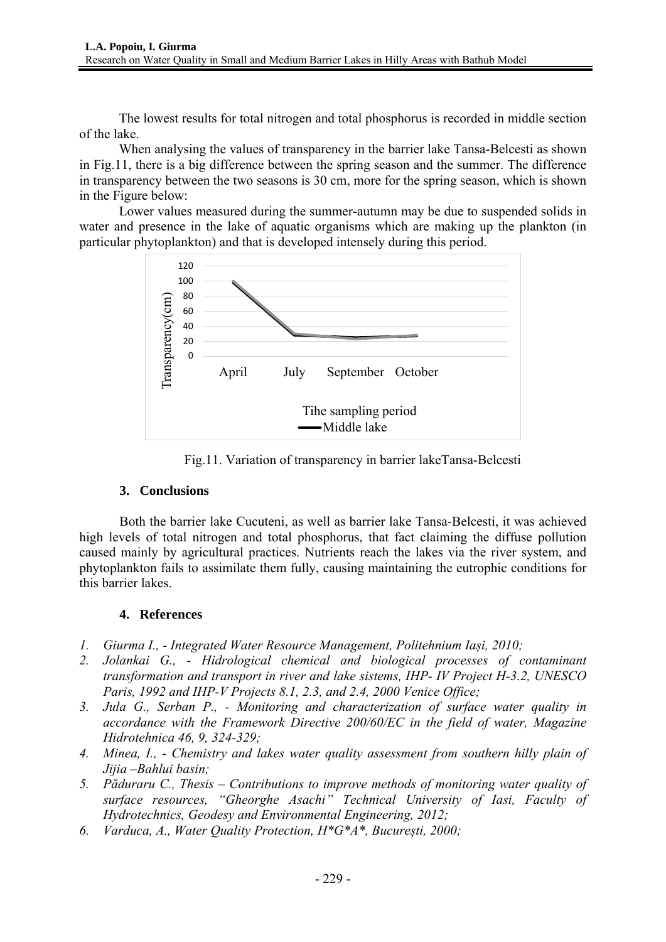The lowest results for total nitrogen and total phosphorus is recorded in middle section of the lake.

When analysing the values of transparency in the barrier lake Tansa-Belcesti as shown in Fig.11, there is a big difference between the spring season and the summer. The difference in transparency between the two seasons is 30 cm, more for the spring season, which is shown in the Figure below:

Lower values measured during the summer-autumn may be due to suspended solids in water and presence in the lake of aquatic organisms which are making up the plankton (in particular phytoplankton) and that is developed intensely during this period.



Fig.11. Variation of transparency in barrier lakeTansa-Belcesti

## **3. Conclusions**

Both the barrier lake Cucuteni, as well as barrier lake Tansa-Belcesti, it was achieved high levels of total nitrogen and total phosphorus, that fact claiming the diffuse pollution caused mainly by agricultural practices. Nutrients reach the lakes via the river system, and phytoplankton fails to assimilate them fully, causing maintaining the eutrophic conditions for this barrier lakes.

## **4. References**

- *1. Giurma I., Integrated Water Resource Management, Politehnium Iași, 2010;*
- *2. Jolankai G., Hidrological chemical and biological processes of contaminant transformation and transport in river and lake sistems, IHP- IV Project H-3.2, UNESCO Paris, 1992 and IHP-V Projects 8.1, 2.3, and 2.4, 2000 Venice Office;*
- *3. Jula G., Serban P., Monitoring and characterization of surface water quality in accordance with the Framework Directive 200/60/EC in the field of water, Magazine Hidrotehnica 46, 9, 324-329;*
- *4. Minea, I., Chemistry and lakes water quality assessment from southern hilly plain of Jijia –Bahlui basin;*
- *5. Păduraru C., Thesis Contributions to improve methods of monitoring water quality of surface resources, "Gheorghe Asachi" Technical University of Iasi, Faculty of Hydrotechnics, Geodesy and Environmental Engineering, 2012;*
- *6. Varduca, A., Water Quality Protection, H\*G\*A\*, București, 2000;*